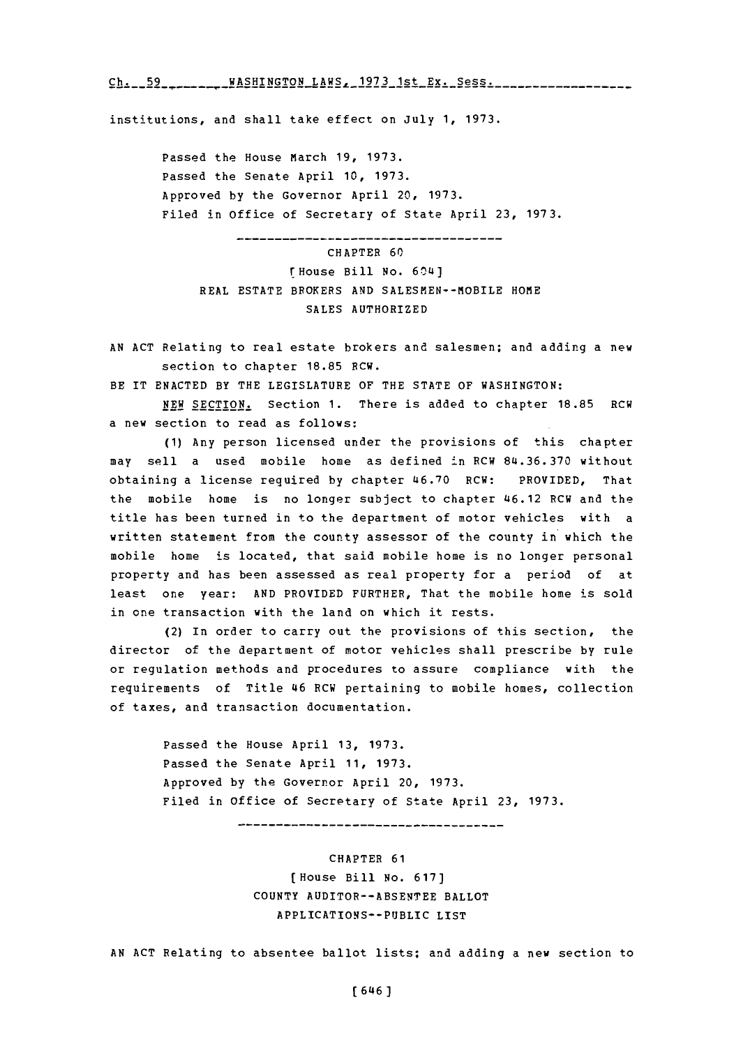$Ch. 1.59$  ..........WASHINGTON.LAHS.1973.1st.Ex...Sess.........................

institutions, and shall take effect on July **1, 1973.**

Passed the House March **19, 1973.** Passed the Senate April **10, 1973.** Approved **by** the Governor April 20, **1973.** Filed in office of Secretary of State April **23, 1973.**

CHAPTER **60** rHouse Bill No. 60L4) REAL ESTATE BROKERS AND SALESMEN--MOBILE HOME **SALES** AUTHORIZED

--------------

**AN ACT** Relating to real estate brokers and salesmen; and adding a new section to chapter **18.85** BCW.

BE IT **ENACTED** BY THE LEGISLATURE OF THE **STATE** OF WASHINGTON:

**NEW SECTION.** Section **1.** There is added to chapter **18.85** RCW a new section to read as follows:

**(1)** Any person licensed under the provisions of this chapter may sell a used mobile home as defined in RCW **84.36.370** without obtaining a license required **by** chapter 46.70 RCW: PROVIDED, That the mobile home is no longer subject to chapter 46.12 RCW and the title has been turned in to the department of motor vehicles with a written statement from the county assessor of the county in which the mobile home is located, that said mobile home is no longer personal property and has been assessed as real property for a period of at least one year: **AND** PROVIDED FURTHER, That the mobile home is sold in one transaction with the land on which it rests.

(2) In order to carry out the provisions of this section, the director of the department of motor vehicles shall prescribe **by** rule or regulation methods and procedures to assure compliance with the requirements **of** Title 46 RCW pertaining to mobile homes, collection of taxes, and transaction documentation.

> Passed the House April **13, 1973.** Passed the Senate April **11, 1973.** Approved **by** the Governor April 20, **1973.** Filed in office of Secretary of State April **23, 1973.**

> > ------------------------------------

CHAPTER **61** (House Bill No. **617] COUNTY** AUDITON--ABSENTEE BALLOT APPLICATIONS-PUBLIC LIST

**AN ACT** Relating to absentee ballot lists; and adding a new section to